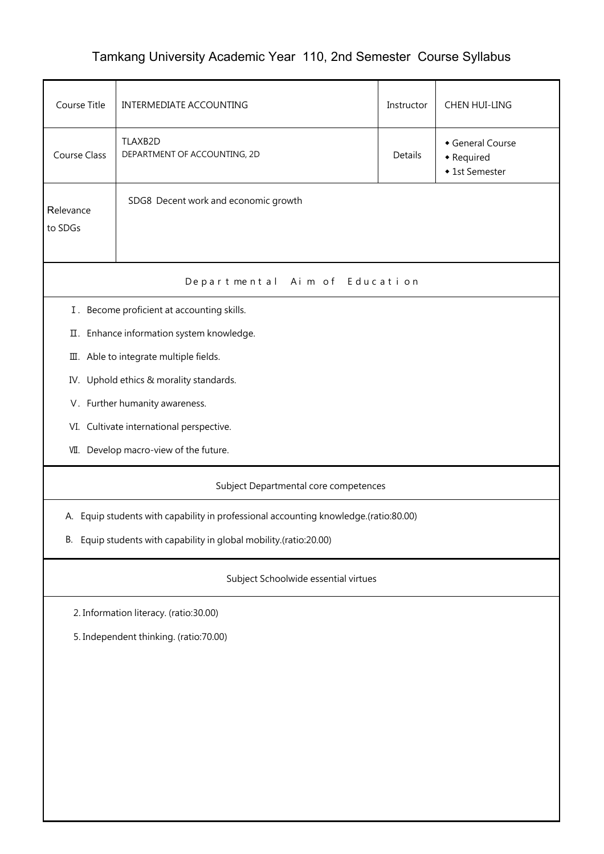## Tamkang University Academic Year 110, 2nd Semester Course Syllabus

| Course Title                                                       | INTERMEDIATE ACCOUNTING                                                              | Instructor     | CHEN HUI-LING                                  |  |  |  |  |  |
|--------------------------------------------------------------------|--------------------------------------------------------------------------------------|----------------|------------------------------------------------|--|--|--|--|--|
| <b>Course Class</b>                                                | TLAXB2D<br>DEPARTMENT OF ACCOUNTING, 2D                                              | <b>Details</b> | General Course<br>• Required<br>◆ 1st Semester |  |  |  |  |  |
| Relevance<br>to SDGs                                               | SDG8 Decent work and economic growth                                                 |                |                                                |  |  |  |  |  |
| Departmental Aim of Education                                      |                                                                                      |                |                                                |  |  |  |  |  |
|                                                                    | I. Become proficient at accounting skills.                                           |                |                                                |  |  |  |  |  |
|                                                                    | II. Enhance information system knowledge.                                            |                |                                                |  |  |  |  |  |
|                                                                    | III. Able to integrate multiple fields.                                              |                |                                                |  |  |  |  |  |
|                                                                    | IV. Uphold ethics & morality standards.                                              |                |                                                |  |  |  |  |  |
|                                                                    | V. Further humanity awareness.                                                       |                |                                                |  |  |  |  |  |
|                                                                    | VI. Cultivate international perspective.                                             |                |                                                |  |  |  |  |  |
|                                                                    | VII. Develop macro-view of the future.                                               |                |                                                |  |  |  |  |  |
|                                                                    | Subject Departmental core competences                                                |                |                                                |  |  |  |  |  |
|                                                                    | A. Equip students with capability in professional accounting knowledge.(ratio:80.00) |                |                                                |  |  |  |  |  |
| B. Equip students with capability in global mobility (ratio:20.00) |                                                                                      |                |                                                |  |  |  |  |  |
| Subject Schoolwide essential virtues                               |                                                                                      |                |                                                |  |  |  |  |  |
| 2. Information literacy. (ratio:30.00)                             |                                                                                      |                |                                                |  |  |  |  |  |
| 5. Independent thinking. (ratio:70.00)                             |                                                                                      |                |                                                |  |  |  |  |  |
|                                                                    |                                                                                      |                |                                                |  |  |  |  |  |
|                                                                    |                                                                                      |                |                                                |  |  |  |  |  |
|                                                                    |                                                                                      |                |                                                |  |  |  |  |  |
|                                                                    |                                                                                      |                |                                                |  |  |  |  |  |
|                                                                    |                                                                                      |                |                                                |  |  |  |  |  |
|                                                                    |                                                                                      |                |                                                |  |  |  |  |  |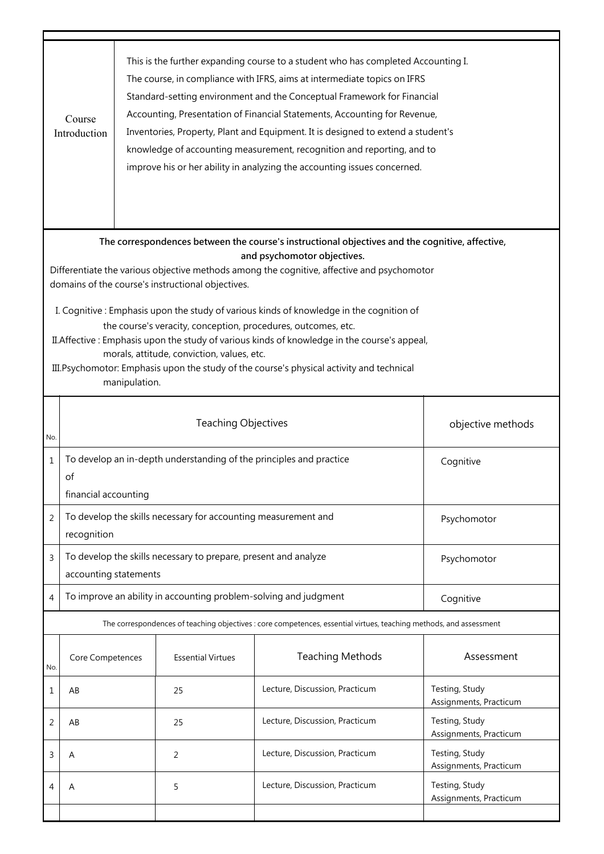|                                                                                                                                                                                                                                                                                                                                                                                                                                                                                                                                                                                                                                                                                                            | This is the further expanding course to a student who has completed Accounting I.<br>The course, in compliance with IFRS, aims at intermediate topics on IFRS<br>Standard-setting environment and the Conceptual Framework for Financial<br>Accounting, Presentation of Financial Statements, Accounting for Revenue,<br>Course<br>Inventories, Property, Plant and Equipment. It is designed to extend a student's<br>Introduction<br>knowledge of accounting measurement, recognition and reporting, and to<br>improve his or her ability in analyzing the accounting issues concerned. |                                                                                                          |                            |                                |                                          |  |  |
|------------------------------------------------------------------------------------------------------------------------------------------------------------------------------------------------------------------------------------------------------------------------------------------------------------------------------------------------------------------------------------------------------------------------------------------------------------------------------------------------------------------------------------------------------------------------------------------------------------------------------------------------------------------------------------------------------------|-------------------------------------------------------------------------------------------------------------------------------------------------------------------------------------------------------------------------------------------------------------------------------------------------------------------------------------------------------------------------------------------------------------------------------------------------------------------------------------------------------------------------------------------------------------------------------------------|----------------------------------------------------------------------------------------------------------|----------------------------|--------------------------------|------------------------------------------|--|--|
| The correspondences between the course's instructional objectives and the cognitive, affective,<br>and psychomotor objectives.<br>Differentiate the various objective methods among the cognitive, affective and psychomotor<br>domains of the course's instructional objectives.<br>I. Cognitive: Emphasis upon the study of various kinds of knowledge in the cognition of<br>the course's veracity, conception, procedures, outcomes, etc.<br>II. Affective : Emphasis upon the study of various kinds of knowledge in the course's appeal,<br>morals, attitude, conviction, values, etc.<br>III. Psychomotor: Emphasis upon the study of the course's physical activity and technical<br>manipulation. |                                                                                                                                                                                                                                                                                                                                                                                                                                                                                                                                                                                           |                                                                                                          |                            |                                |                                          |  |  |
| No.                                                                                                                                                                                                                                                                                                                                                                                                                                                                                                                                                                                                                                                                                                        |                                                                                                                                                                                                                                                                                                                                                                                                                                                                                                                                                                                           |                                                                                                          | <b>Teaching Objectives</b> |                                | objective methods                        |  |  |
| $\mathbf{1}$                                                                                                                                                                                                                                                                                                                                                                                                                                                                                                                                                                                                                                                                                               | οf                                                                                                                                                                                                                                                                                                                                                                                                                                                                                                                                                                                        | To develop an in-depth understanding of the principles and practice<br>Cognitive<br>financial accounting |                            |                                |                                          |  |  |
| 2                                                                                                                                                                                                                                                                                                                                                                                                                                                                                                                                                                                                                                                                                                          | To develop the skills necessary for accounting measurement and<br>Psychomotor<br>recognition                                                                                                                                                                                                                                                                                                                                                                                                                                                                                              |                                                                                                          |                            |                                |                                          |  |  |
| 3                                                                                                                                                                                                                                                                                                                                                                                                                                                                                                                                                                                                                                                                                                          | To develop the skills necessary to prepare, present and analyze<br>Psychomotor<br>accounting statements                                                                                                                                                                                                                                                                                                                                                                                                                                                                                   |                                                                                                          |                            |                                |                                          |  |  |
| 4                                                                                                                                                                                                                                                                                                                                                                                                                                                                                                                                                                                                                                                                                                          | To improve an ability in accounting problem-solving and judgment<br>Cognitive                                                                                                                                                                                                                                                                                                                                                                                                                                                                                                             |                                                                                                          |                            |                                |                                          |  |  |
|                                                                                                                                                                                                                                                                                                                                                                                                                                                                                                                                                                                                                                                                                                            | The correspondences of teaching objectives : core competences, essential virtues, teaching methods, and assessment                                                                                                                                                                                                                                                                                                                                                                                                                                                                        |                                                                                                          |                            |                                |                                          |  |  |
| No.                                                                                                                                                                                                                                                                                                                                                                                                                                                                                                                                                                                                                                                                                                        | Core Competences                                                                                                                                                                                                                                                                                                                                                                                                                                                                                                                                                                          |                                                                                                          | <b>Essential Virtues</b>   | <b>Teaching Methods</b>        | Assessment                               |  |  |
| 1                                                                                                                                                                                                                                                                                                                                                                                                                                                                                                                                                                                                                                                                                                          | AB                                                                                                                                                                                                                                                                                                                                                                                                                                                                                                                                                                                        |                                                                                                          | 25                         | Lecture, Discussion, Practicum | Testing, Study<br>Assignments, Practicum |  |  |
| 2                                                                                                                                                                                                                                                                                                                                                                                                                                                                                                                                                                                                                                                                                                          | AB                                                                                                                                                                                                                                                                                                                                                                                                                                                                                                                                                                                        |                                                                                                          | 25                         | Lecture, Discussion, Practicum | Testing, Study<br>Assignments, Practicum |  |  |
| 3                                                                                                                                                                                                                                                                                                                                                                                                                                                                                                                                                                                                                                                                                                          | A                                                                                                                                                                                                                                                                                                                                                                                                                                                                                                                                                                                         |                                                                                                          | 2                          | Lecture, Discussion, Practicum | Testing, Study<br>Assignments, Practicum |  |  |
| 4                                                                                                                                                                                                                                                                                                                                                                                                                                                                                                                                                                                                                                                                                                          | A                                                                                                                                                                                                                                                                                                                                                                                                                                                                                                                                                                                         |                                                                                                          | 5                          | Lecture, Discussion, Practicum | Testing, Study<br>Assignments, Practicum |  |  |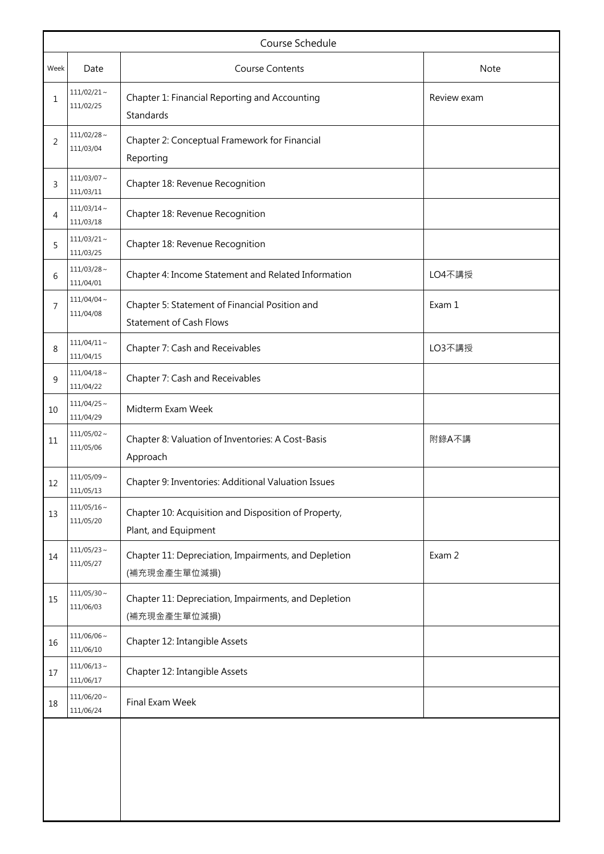| Course Schedule |                               |                                                                                  |        |  |  |
|-----------------|-------------------------------|----------------------------------------------------------------------------------|--------|--|--|
| Week            | Date                          | <b>Course Contents</b>                                                           | Note   |  |  |
| 1               | $111/02/21$ ~<br>111/02/25    | Chapter 1: Financial Reporting and Accounting<br>Review exam<br>Standards        |        |  |  |
| 2               | $111/02/28 \sim$<br>111/03/04 | Chapter 2: Conceptual Framework for Financial<br>Reporting                       |        |  |  |
| 3               | $111/03/07 \sim$<br>111/03/11 | Chapter 18: Revenue Recognition                                                  |        |  |  |
| 4               | $111/03/14$ ~<br>111/03/18    | Chapter 18: Revenue Recognition                                                  |        |  |  |
| 5               | $111/03/21$ ~<br>111/03/25    | Chapter 18: Revenue Recognition                                                  |        |  |  |
| 6               | $111/03/28$ ~<br>111/04/01    | Chapter 4: Income Statement and Related Information                              | LO4不講授 |  |  |
| 7               | $111/04/04 \sim$<br>111/04/08 | Chapter 5: Statement of Financial Position and<br><b>Statement of Cash Flows</b> | Exam 1 |  |  |
| 8               | $111/04/11 \sim$<br>111/04/15 | Chapter 7: Cash and Receivables                                                  | LO3不講授 |  |  |
| 9               | $111/04/18$ ~<br>111/04/22    | Chapter 7: Cash and Receivables                                                  |        |  |  |
| 10              | $111/04/25$ ~<br>111/04/29    | Midterm Exam Week                                                                |        |  |  |
| 11              | $111/05/02 \sim$<br>111/05/06 | Chapter 8: Valuation of Inventories: A Cost-Basis<br>Approach                    | 附錄A不講  |  |  |
| 12              | $111/05/09$ ~<br>111/05/13    | Chapter 9: Inventories: Additional Valuation Issues                              |        |  |  |
| 13              | $111/05/16$ ~<br>111/05/20    | Chapter 10: Acquisition and Disposition of Property,<br>Plant, and Equipment     |        |  |  |
| 14              | $111/05/23 \sim$<br>111/05/27 | Chapter 11: Depreciation, Impairments, and Depletion<br>(補充現金產生單位減損)             | Exam 2 |  |  |
| 15              | $111/05/30 \sim$<br>111/06/03 | Chapter 11: Depreciation, Impairments, and Depletion<br>(補充現金產生單位減損)             |        |  |  |
| 16              | $111/06/06$ ~<br>111/06/10    | Chapter 12: Intangible Assets                                                    |        |  |  |
| 17              | $111/06/13 \sim$<br>111/06/17 | Chapter 12: Intangible Assets                                                    |        |  |  |
| 18              | $111/06/20 \sim$<br>111/06/24 | Final Exam Week                                                                  |        |  |  |
|                 |                               |                                                                                  |        |  |  |